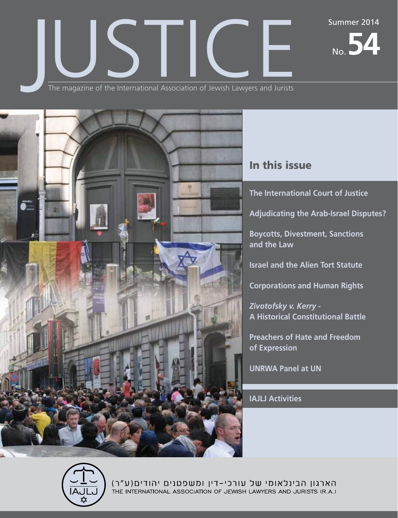No.**54**

The magazine of the International Association of Jewish Lawyers and Jurists The magazine of the International Association of Jewish Lawyers and Jurists



# In this issue

**The International Court of Justice**

**Adjudicating the Arab-Israel Disputes?**

**Boycotts, Divestment, Sanctions and the Law**

**Israel and the Alien Tort Statute**

**Corporations and Human Rights**

*Zivotofsky v. Kerry* **- A Historical Constitutional Battle**

**Preachers of Hate and Freedom of Expression**

**UNRWA Panel at UN**

**IAJLJ Activities**



הארגון הבינלאומי של עורכי-דין ומשפטנים יהודים(ע"ר) THE INTERNATIONAL ASSOCIATION OF JEWISH LAWYERS AND JURISTS (R.A.)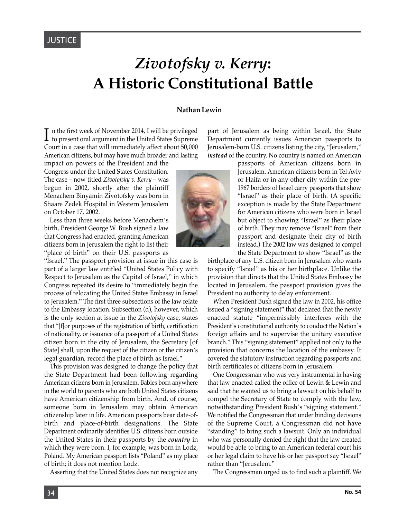# *Zivotofsky v. Kerry***: A Historic Constitutional Battle**

#### **Nathan Lewin**

n the first week of November 2014, I will be privileged  $\boldsymbol{\mathrm{I}}$ n the first week of November 2014, I will be privileged to present oral argument in the United States Supreme Court in a case that will immediately affect about 50,000 American citizens, but may have much broader and lasting

impact on powers of the President and the Congress under the United States Constitution. The case – now titled *Zivotofsky v. Kerry* – was begun in 2002, shortly after the plaintiff Menachem Binyamin Zivotofsky was born in Shaare Zedek Hospital in Western Jerusalem on October 17, 2002.

Less than three weeks before Menachem's birth, President George W. Bush signed a law that Congress had enacted, granting American citizens born in Jerusalem the right to list their "place of birth" on their U.S. passports as

"Israel." The passport provision at issue in this case is part of a larger law entitled "United States Policy with Respect to Jerusalem as the Capital of Israel," in which Congress repeated its desire to "immediately begin the process of relocating the United States Embassy in Israel to Jerusalem." The first three subsections of the law relate to the Embassy location. Subsection (d), however, which is the only section at issue in the *Zivotofsky* case, states that "[f]or purposes of the registration of birth, certification of nationality, or issuance of a passport of a United States citizen born in the city of Jerusalem, the Secretary [of State] shall, upon the request of the citizen or the citizen's legal guardian, record the place of birth as Israel."

This provision was designed to change the policy that the State Department had been following regarding American citizens born in Jerusalem. Babies born anywhere in the world to parents who are both United States citizens have American citizenship from birth. And, of course, someone born in Jerusalem may obtain American citizenship later in life. American passports bear date-ofbirth and place-of-birth designations. The State Department ordinarily identifies U.S. citizens born outside the United States in their passports by the *country* in which they were born. I, for example, was born in Lodz, Poland. My American passport lists "Poland" as my place of birth; it does not mention Lodz.

Asserting that the United States does not recognize any

part of Jerusalem as being within Israel, the State Department currently issues American passports to Jerusalem-born U.S. citizens listing the city, "Jerusalem," *instead* of the country. No country is named on American



passports of American citizens born in Jerusalem. American citizens born in Tel Aviv or Haifa or in any other city within the pre-1967 borders of Israel carry passports that show "Israel" as their place of birth. (A specific exception is made by the State Department for American citizens who were born in Israel but object to showing "Israel" as their place of birth. They may remove "Israel" from their passport and designate their city of birth instead.) The 2002 law was designed to compel the State Department to show "Israel" as the

birthplace of any U.S. citizen born in Jerusalem who wants to specify "Israel" as his or her birthplace. Unlike the provision that directs that the United States Embassy be located in Jerusalem, the passport provision gives the President no authority to delay enforcement.

When President Bush signed the law in 2002, his office issued a "signing statement" that declared that the newly enacted statute "impermissibly interferes with the President's constitutional authority to conduct the Nation's foreign affairs and to supervise the unitary executive branch." This "signing statement" applied not only to the provision that concerns the location of the embassy. It covered the statutory instruction regarding passports and birth certificates of citizens born in Jerusalem.

One Congressman who was very instrumental in having that law enacted called the office of Lewin & Lewin and said that he wanted us to bring a lawsuit on his behalf to compel the Secretary of State to comply with the law, notwithstanding President Bush's "signing statement." We notified the Congressman that under binding decisions of the Supreme Court, a Congressman did not have "standing" to bring such a lawsuit. Only an individual who was personally denied the right that the law created would be able to bring to an American federal court his or her legal claim to have his or her passport say "Israel" rather than "Jerusalem."

The Congressman urged us to find such a plaintiff. We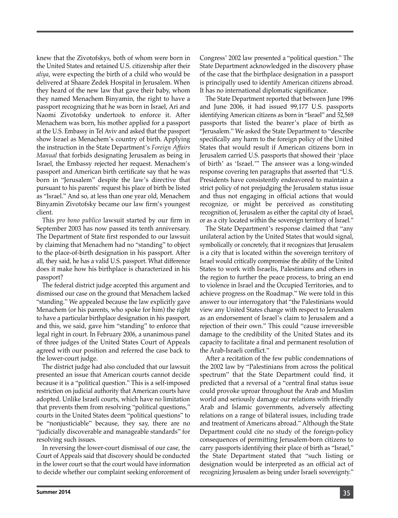knew that the Zivotofskys, both of whom were born in the United States and retained U.S. citizenship after their *aliya*, were expecting the birth of a child who would be delivered at Shaare Zedek Hospital in Jerusalem. When they heard of the new law that gave their baby, whom they named Menachem Binyamin, the right to have a passport recognizing that he was born in Israel, Ari and Naomi Zivotofsky undertook to enforce it. After Menachem was born, his mother applied for a passport at the U.S. Embassy in Tel Aviv and asked that the passport show Israel as Menachem's country of birth. Applying the instruction in the State Department's *Foreign Affairs Manual* that forbids designating Jerusalem as being in Israel, the Embassy rejected her request. Menachem's passport and American birth certificate say that he was born in "Jerusalem" despite the law's directive that pursuant to his parents' request his place of birth be listed as "Israel." And so, at less than one year old, Menachem Binyamin Zivotofsky became our law firm's youngest client.

This *pro bono publico* lawsuit started by our firm in September 2003 has now passed its tenth anniversary. The Department of State first responded to our lawsuit by claiming that Menachem had no "standing" to object to the place-of-birth designation in his passport. After all, they said, he has a valid U.S. passport. What difference does it make how his birthplace is characterized in his passport?

The federal district judge accepted this argument and dismissed our case on the ground that Menachem lacked "standing." We appealed because the law explicitly gave Menachem (or his parents, who spoke for him) the right to have a particular birthplace designation in his passport, and this, we said, gave him "standing" to enforce that legal right in court. In February 2006, a unanimous panel of three judges of the United States Court of Appeals agreed with our position and referred the case back to the lower-court judge.

The district judge had also concluded that our lawsuit presented an issue that American courts cannot decide because it is a "political question." This is a self-imposed restriction on judicial authority that American courts have adopted. Unlike Israeli courts, which have no limitation that prevents them from resolving "political questions," courts in the United States deem "political questions" to be "nonjusticiable" because, they say, there are no "judicially discoverable and manageable standards" for resolving such issues.

In reversing the lower-court dismissal of our case, the Court of Appeals said that discovery should be conducted in the lower court so that the court would have information to decide whether our complaint seeking enforcement of Congress' 2002 law presented a "political question." The State Department acknowledged in the discovery phase of the case that the birthplace designation in a passport is principally used to identify American citizens abroad. It has no international diplomatic significance.

The State Department reported that between June 1996 and June 2006, it had issued 99,177 U.S. passports identifying American citizens as born in "Israel" and 52,569 passports that listed the bearer's place of birth as "Jerusalem." We asked the State Department to "describe specifically any harm to the foreign policy of the United States that would result if American citizens born in Jerusalem carried U.S. passports that showed their 'place of birth' as 'Israel.'" The answer was a long-winded response covering ten paragraphs that asserted that "U.S. Presidents have consistently endeavored to maintain a strict policy of not prejudging the Jerusalem status issue and thus not engaging in official actions that would recognize, or might be perceived as constituting recognition of, Jerusalem as either the capital city of Israel, or as a city located within the sovereign territory of Israel."

The State Department's response claimed that "any unilateral action by the United States that would signal, symbolically or concretely, that it recognizes that Jerusalem is a city that is located within the sovereign territory of Israel would critically compromise the ability of the United States to work with Israelis, Palestinians and others in the region to further the peace process, to bring an end to violence in Israel and the Occupied Territories, and to achieve progress on the Roadmap." We were told in this answer to our interrogatory that "the Palestinians would view any United States change with respect to Jerusalem as an endorsement of Israel's claim to Jerusalem and a rejection of their own." This could "cause irreversible damage to the credibility of the United States and its capacity to facilitate a final and permanent resolution of the Arab-Israeli conflict."

After a recitation of the few public condemnations of the 2002 law by "Palestinians from across the political spectrum" that the State Department could find, it predicted that a reversal of a "central final status issue could provoke uproar throughout the Arab and Muslim world and seriously damage our relations with friendly Arab and Islamic governments, adversely affecting relations on a range of bilateral issues, including trade and treatment of Americans abroad." Although the State Department could cite no study of the foreign-policy consequences of permitting Jerusalem-born citizens to carry passports identifying their place of birth as "Israel," the State Department stated that "such listing or designation would be interpreted as an official act of recognizing Jerusalem as being under Israeli sovereignty."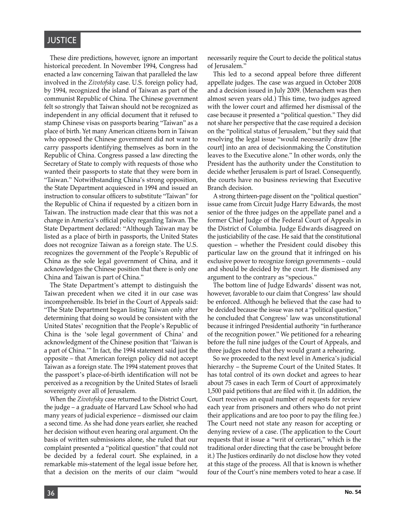## **JUSTICE**

These dire predictions, however, ignore an important historical precedent. In November 1994, Congress had enacted a law concerning Taiwan that paralleled the law involved in the *Zivotofsky* case. U.S. foreign policy had, by 1994, recognized the island of Taiwan as part of the communist Republic of China. The Chinese government felt so strongly that Taiwan should not be recognized as independent in any official document that it refused to stamp Chinese visas on passports bearing "Taiwan" as a place of birth. Yet many American citizens born in Taiwan who opposed the Chinese government did not want to carry passports identifying themselves as born in the Republic of China. Congress passed a law directing the Secretary of State to comply with requests of those who wanted their passports to state that they were born in "Taiwan." Notwithstanding China's strong opposition, the State Department acquiesced in 1994 and issued an instruction to consular officers to substitute "Taiwan" for the Republic of China if requested by a citizen born in Taiwan. The instruction made clear that this was not a change in America's official policy regarding Taiwan. The State Department declared: "Although Taiwan may be listed as a place of birth in passports, the United States does not recognize Taiwan as a foreign state. The U.S. recognizes the government of the People's Republic of China as the sole legal government of China, and it acknowledges the Chinese position that there is only one China and Taiwan is part of China."

The State Department's attempt to distinguish the Taiwan precedent when we cited it in our case was incomprehensible. Its brief in the Court of Appeals said: "The State Department began listing Taiwan only after determining that doing so would be consistent with the United States' recognition that the People's Republic of China is the 'sole legal government of China' and acknowledgment of the Chinese position that 'Taiwan is a part of China.'" In fact, the 1994 statement said just the opposite – that American foreign policy did not accept Taiwan as a foreign state. The 1994 statement proves that the passport's place-of-birth identification will not be perceived as a recognition by the United States of Israeli sovereignty over all of Jerusalem.

When the *Zivotofsky* case returned to the District Court, the judge – a graduate of Harvard Law School who had many years of judicial experience – dismissed our claim a second time. As she had done years earlier, she reached her decision without even hearing oral argument. On the basis of written submissions alone, she ruled that our complaint presented a "political question" that could not be decided by a federal court. She explained, in a remarkable mis-statement of the legal issue before her, that a decision on the merits of our claim "would

This led to a second appeal before three different appellate judges. The case was argued in October 2008 and a decision issued in July 2009. (Menachem was then almost seven years old.) This time, two judges agreed with the lower court and affirmed her dismissal of the case because it presented a "political question." They did not share her perspective that the case required a decision on the "political status of Jerusalem," but they said that resolving the legal issue "would necessarily draw [the court] into an area of decisionmaking the Constitution leaves to the Executive alone." In other words, only the President has the authority under the Constitution to decide whether Jerusalem is part of Israel. Consequently, the courts have no business reviewing that Executive Branch decision.

A strong thirteen-page dissent on the "political question" issue came from Circuit Judge Harry Edwards, the most senior of the three judges on the appellate panel and a former Chief Judge of the Federal Court of Appeals in the District of Columbia. Judge Edwards disagreed on the justiciability of the case. He said that the constitutional question – whether the President could disobey this particular law on the ground that it infringed on his exclusive power to recognize foreign governments – could and should be decided by the court. He dismissed any argument to the contrary as "specious."

The bottom line of Judge Edwards' dissent was not, however, favorable to our claim that Congress' law should be enforced. Although he believed that the case had to be decided because the issue was not a "political question," he concluded that Congress' law was unconstitutional because it infringed Presidential authority "in furtherance of the recognition power." We petitioned for a rehearing before the full nine judges of the Court of Appeals, and three judges noted that they would grant a rehearing.

So we proceeded to the next level in America's judicial hierarchy – the Supreme Court of the United States. It has total control of its own docket and agrees to hear about 75 cases in each Term of Court of approximately 1,500 paid petitions that are filed with it. (In addition, the Court receives an equal number of requests for review each year from prisoners and others who do not print their applications and are too poor to pay the filing fee.) The Court need not state any reason for accepting or denying review of a case. (The application to the Court requests that it issue a "writ of certiorari," which is the traditional order directing that the case be brought before it.) The Justices ordinarily do not disclose how they voted at this stage of the process. All that is known is whether four of the Court's nine members voted to hear a case. If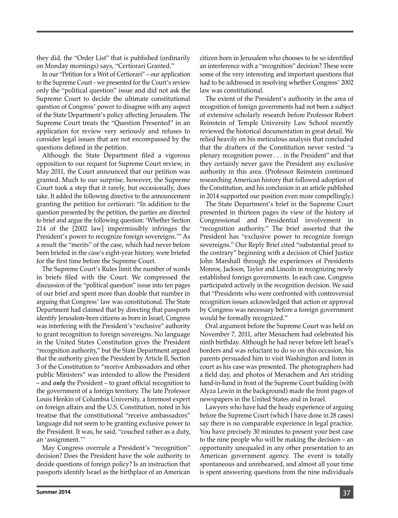they did, the "Order List" that is published (ordinarily on Monday mornings) says, "Certiorari Granted."

In our "Petition for a Writ of Certiorari" – our application to the Supreme Court - we presented for the Court's review only the "political question" issue and did not ask the Supreme Court to decide the ultimate constitutional question of Congress' power to disagree with any aspect of the State Department's policy affecting Jerusalem. The Supreme Court treats the "Question Presented" in an application for review very seriously and refuses to consider legal issues that are not encompassed by the questions defined in the petition.

Although the State Department filed a vigorous opposition to our request for Supreme Court review, in May 2011, the Court announced that our petition was granted. Much to our surprise, however, the Supreme Court took a step that it rarely, but occasionally, does take. It added the following directive to the announcement granting the petition for certiorari: "In addition to the question presented by the petition, the parties are directed to brief and argue the following question: 'Whether Section 214 of the [2002 law] impermissibly infringes the President's power to recognize foreign sovereigns.'" As a result the "merits" of the case, which had never before been briefed in the case's eight-year history, were briefed for the first time before the Supreme Court.

The Supreme Court's Rules limit the number of words in briefs filed with the Court. We compressed the discussion of the "political question" issue into ten pages of our brief and spent more than double that number in arguing that Congress' law was constitutional. The State Department had claimed that by directing that passports identify Jerusalem-born citizens as born in Israel, Congress was interfering with the President's "exclusive" authority to grant recognition to foreign sovereigns. No language in the United States Constitution gives the President "recognition authority," but the State Department argued that the authority given the President by Article II, Section 3 of the Constitution to "receive Ambassadors and other public Ministers" was intended to allow the President – and *only* the President – to grant official recognition to the government of a foreign territory. The late Professor Louis Henkin of Columbia University, a foremost expert on foreign affairs and the U.S. Constitution, noted in his treatise that the constitutional "receive ambassadors" language did not seem to be granting exclusive power to the President. It was, he said, "couched rather as a duty, an 'assignment.'"

May Congress overrule a President's "recognition" decision? Does the President have the sole authority to decide questions of foreign policy? Is an instruction that passports identify Israel as the birthplace of an American

citizen born in Jerusalem who chooses to be so identified an interference with a "recognition" decision? These were some of the very interesting and important questions that had to be addressed in resolving whether Congress' 2002 law was constitutional.

The extent of the President's authority in the area of recognition of foreign governments had not been a subject of extensive scholarly research before Professor Robert Reinstein of Temple University Law School recently reviewed the historical documentation in great detail. We relied heavily on his meticulous analysis that concluded that the drafters of the Constitution never vested "a plenary recognition power . . . in the President" and that they certainly never gave the President any exclusive authority in this area. (Professor Reinstein continued researching American history that followed adoption of the Constitution, and his conclusion in an article published in 2014 supported our position even more compellingly.)

The State Department's brief in the Supreme Court presented in thirteen pages its view of the history of Congressional and Presidential involvement in "recognition authority." The brief asserted that the President has "exclusive power to recognize foreign sovereigns." Our Reply Brief cited "substantial proof to the contrary" beginning with a decision of Chief Justice John Marshall through the experiences of Presidents Monroe, Jackson, Taylor and Lincoln in recognizing newly established foreign governments. In each case, Congress participated actively in the recognition decision. We said that "Presidents who were confronted with controversial recognition issues acknowledged that action or approval by Congress was necessary before a foreign government would be formally recognized."

Oral argument before the Supreme Court was held on November 7, 2011, after Menachem had celebrated his ninth birthday. Although he had never before left Israel's borders and was reluctant to do so on this occasion, his parents persuaded him to visit Washington and listen in court as his case was presented. The photographers had a field day, and photos of Menachem and Ari striding hand-in-hand in front of the Supreme Court building (with Alyza Lewin in the background) made the front pages of newspapers in the United States and in Israel.

Lawyers who have had the heady experience of arguing before the Supreme Court (which I have done in 28 cases) say there is no comparable experience in legal practice. You have precisely 30 minutes to present your best case to the nine people who will be making the decision – an opportunity unequaled in any other presentation to an American government agency. The event is totally spontaneous and unrehearsed, and almost all your time is spent answering questions from the nine individuals